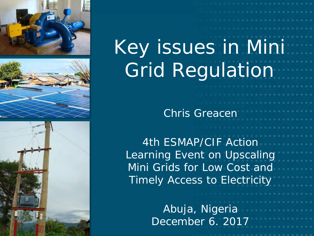





# Key issues in Mini Grid Regulation

Chris Greacen

*Dr. Chris Greacen* 4th ESMAP/CIF Action Learning Event on Upscaling Mini Grids for Low Cost and Timely Access to Electricity

> Abuja, Nigeria December 6. 2017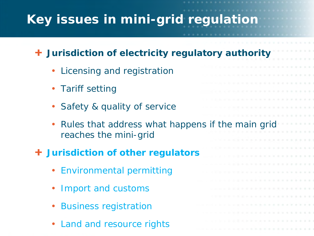# **Key issues in mini-grid regulation**

#### **Jurisdiction of electricity regulatory authority**

- Licensing and registration
- **Tariff setting**
- Safety & quality of service
- Rules that address what happens if the main grid reaches the mini-grid

#### **Jurisdiction of other regulators**

- Environmental permitting
- Import and customs
- Business registration
- Land and resource rights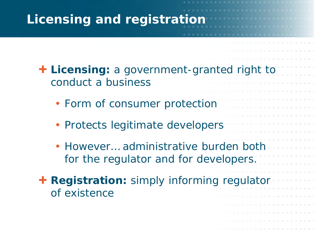## **Licensing and registration**

**Licensing:** a government-granted right to conduct a business

. . . . . . . . .

- Form of consumer protection
- Protects legitimate developers
- However… administrative burden both for the regulator and for developers.
- **+ Registration:** simply informing regulator of existence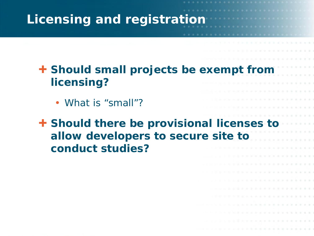### **Licensing and registration**

- **Should small projects be exempt from licensing?**
	- What is "small"?

**Should there be provisional licenses to allow developers to secure site to conduct studies?**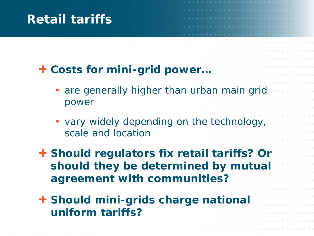#### **Retail tariffs**

#### **Costs for mini-grid power…**

- are generally higher than urban main grid power
- vary widely depending on the technology, scale and location
- **Should regulators fix retail tariffs? Or should they be determined by mutual agreement with communities?**
- **Should mini-grids charge national uniform tariffs?**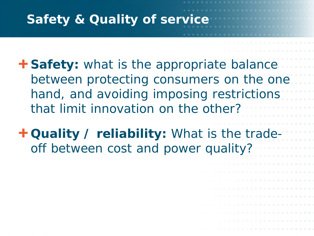### **Safety & Quality of service**

**+ Safety:** what is the appropriate balance between protecting consumers on the one hand, and avoiding imposing restrictions that limit innovation on the other?

**Quality / reliability:** What is the tradeoff between cost and power quality?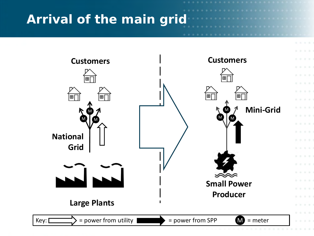### **Arrival of the main grid**

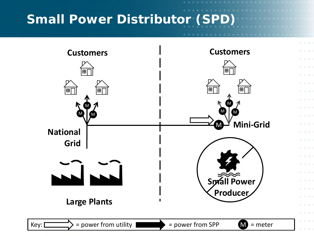## **Small Power Distributor (SPD)**



. . .

 $(1, 1)$  $\mathbb{R}^n \times \mathbb{R}^n$ 

 $1.11$ 

 $1.11$  $1.11$ 

4. 6.  $1.111$  $\label{eq:1.1} \begin{array}{cccccccccc} \mathcal{U} & \mathcal{U} & \mathcal{U} & \mathcal{U} \end{array}$  $10 - 10$  $10.101$  $1.11$ 

 $10 - 10$ **STAR**  $-1.1$  $\mathbb{R}$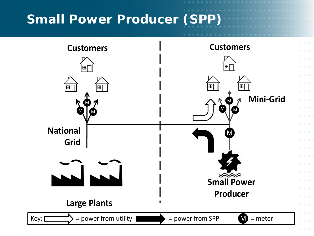### **Small Power Producer (SPP)**

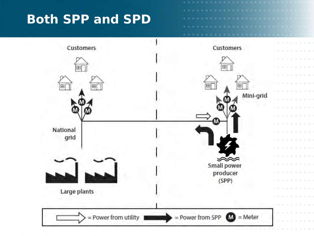#### **Both SPP and SPD**

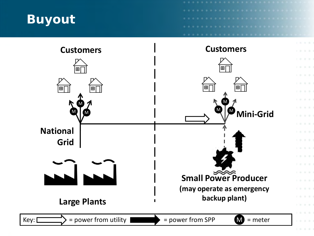

 $1.11$  $\label{eq:1.1} \begin{array}{cccccccccc} \mathbb{R}^+ & \mathbb{R}^- & \mathbb{R}^- \end{array}$ 

 $-1.11$  $\mathbb{R}^n \times \mathbb{R}^n$ 

 $1.11$ 

 $1.11$ 

 $\label{eq:1.1} \begin{array}{cccccccccc} \mathcal{U} & \mathcal{U} & \mathcal{U} \end{array}$ 

 $10.11$  $1.11$ 

 $1.111$ 

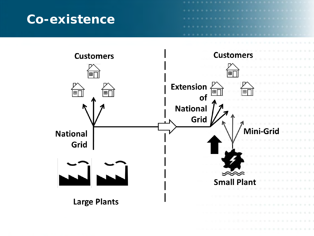#### **Co-existence**

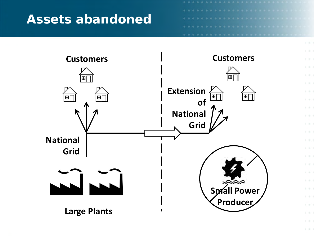#### **Assets abandoned**

**COLL**  $1 - 2 - 1$  $\mathbb{R}^n$  $\mathbb{R}^n$  . In (  $1.31$ 

 $1.11$  $1 - 1 - 1$ 

 $1 - 21 - 1$ 

 $1 - 11 - 1$  $1 - 0.7$ 

 $1.1.1$  $1 - 1 - 1$ **ALCOHOL** b. 0.  $1.9.$ 

 $1.111$ **COL**  $1 - 2 - 1$  $1 - 11 - 1$